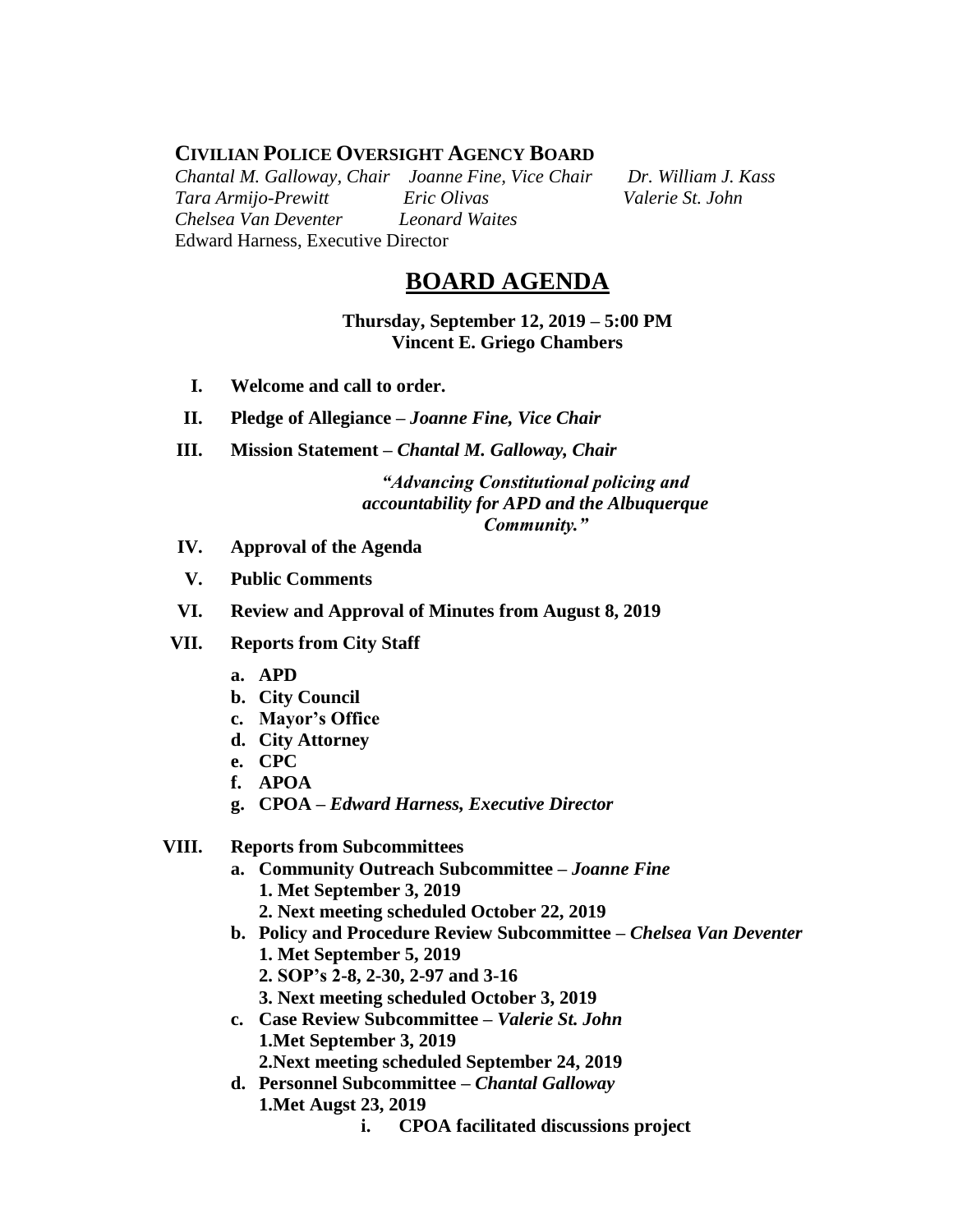# **CIVILIAN POLICE OVERSIGHT AGENCY BOARD**

*Chantal M. Galloway, Chair Joanne Fine, Vice Chair Dr. William J. Kass Tara Armijo-Prewitt Eric Olivas Valerie St. John Chelsea Van Deventer Leonard Waites* Edward Harness, Executive Director

# **BOARD AGENDA**

**Thursday, September 12, 2019 – 5:00 PM Vincent E. Griego Chambers**

- **I. Welcome and call to order.**
- **II. Pledge of Allegiance –** *Joanne Fine, Vice Chair*
- **III. Mission Statement –** *Chantal M. Galloway, Chair*

### *"Advancing Constitutional policing and accountability for APD and the Albuquerque Community."*

- **IV. Approval of the Agenda**
- **V. Public Comments**
- **VI. Review and Approval of Minutes from August 8, 2019**
- **VII. Reports from City Staff**
	- **a. APD**
	- **b. City Council**
	- **c. Mayor's Office**
	- **d. City Attorney**
	- **e. CPC**
	- **f. APOA**
	- **g. CPOA –** *Edward Harness, Executive Director*

#### **VIII. Reports from Subcommittees**

- **a. Community Outreach Subcommittee –** *Joanne Fine* **1. Met September 3, 2019**
	- **2. Next meeting scheduled October 22, 2019**
- **b. Policy and Procedure Review Subcommittee –** *Chelsea Van Deventer* **1. Met September 5, 2019**
	- **2. SOP's 2-8, 2-30, 2-97 and 3-16**
	- **3. Next meeting scheduled October 3, 2019**
- **c. Case Review Subcommittee –** *Valerie St. John* **1.Met September 3, 2019 2.Next meeting scheduled September 24, 2019**
- **d. Personnel Subcommittee** *– Chantal Galloway* **1.Met Augst 23, 2019**
	- **i. CPOA facilitated discussions project**